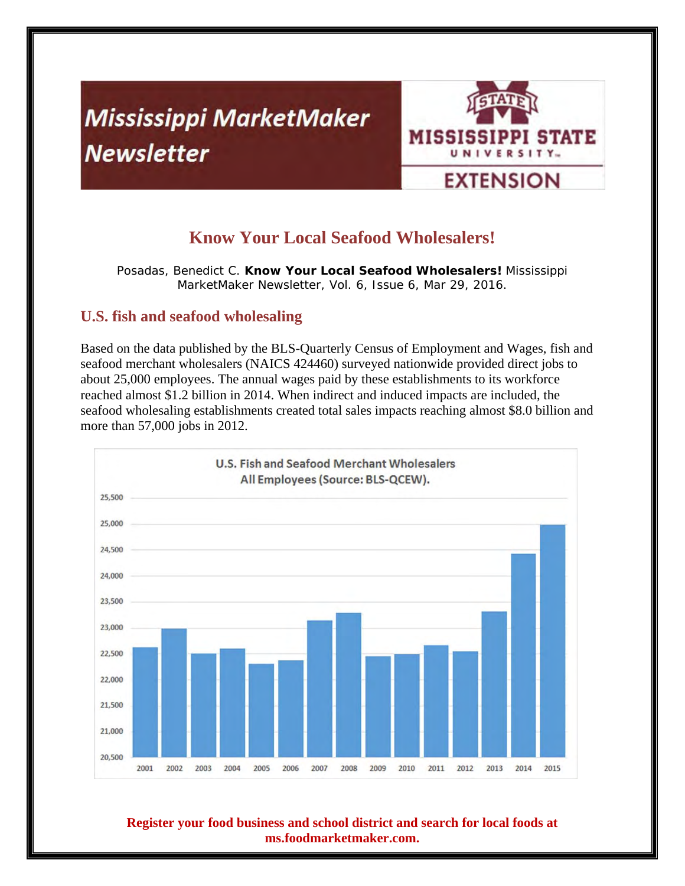# **Mississippi MarketMaker Newsletter**



# **Know Your Local Seafood Wholesalers!**

Posadas, Benedict C. **Know Your Local Seafood Wholesalers!** Mississippi MarketMaker Newsletter, Vol. 6, Issue 6, Mar 29, 2016.

# **U.S. fish and seafood wholesaling**

Based on the data published by the BLS-Quarterly Census of Employment and Wages, fish and seafood merchant wholesalers (NAICS 424460) surveyed nationwide provided direct jobs to about 25,000 employees. The annual wages paid by these establishments to its workforce reached almost \$1.2 billion in 2014. When indirect and induced impacts are included, the seafood wholesaling establishments created total sales impacts reaching almost \$8.0 billion and more than 57,000 jobs in 2012.



#### **Register your food business and school district and search for local foods at ms.foodmarketmaker.com.**